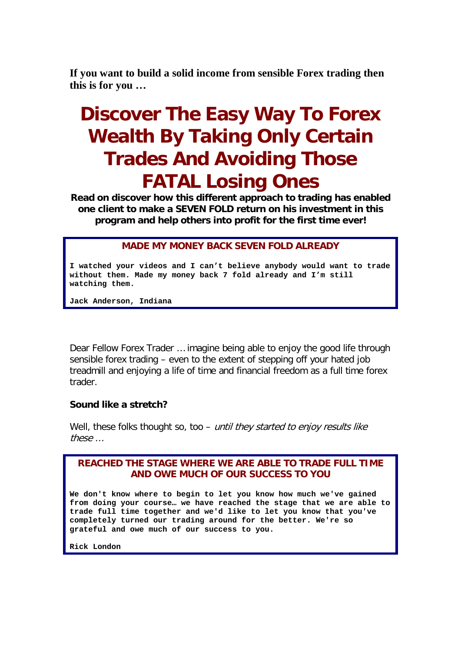**If you want to build a solid income from sensible Forex trading then this is for you …**

# **Discover The Easy Way To Forex Wealth By Taking Only Certain Trades And Avoiding Those FATAL Losing Ones**

**Read on discover how this different approach to trading has enabled one client to make a SEVEN FOLD return on his investment in this program and help others into profit for the first time ever!**

### **MADE MY MONEY BACK SEVEN FOLD ALREADY**

**I watched your videos and I can't believe anybody would want to trade without them. Made my money back 7 fold already and I'm still watching them.**

**Jack Anderson, Indiana**

Dear Fellow Forex Trader … imagine being able to enjoy the good life through sensible forex trading – even to the extent of stepping off your hated job treadmill and enjoying a life of time and financial freedom as a full time forex trader.

#### **Sound like a stretch?**

Well, these folks thought so, too – until they started to enjoy results like these …

### **REACHED THE STAGE WHERE WE ARE ABLE TO TRADE FULL TIME AND OWE MUCH OF OUR SUCCESS TO YOU**

**We don't know where to begin to let you know how much we've gained from doing your course… we have reached the stage that we are able to trade full time together and we'd like to let you know that you've completely turned our trading around for the better. We're so grateful and owe much of our success to you.**

**Rick London**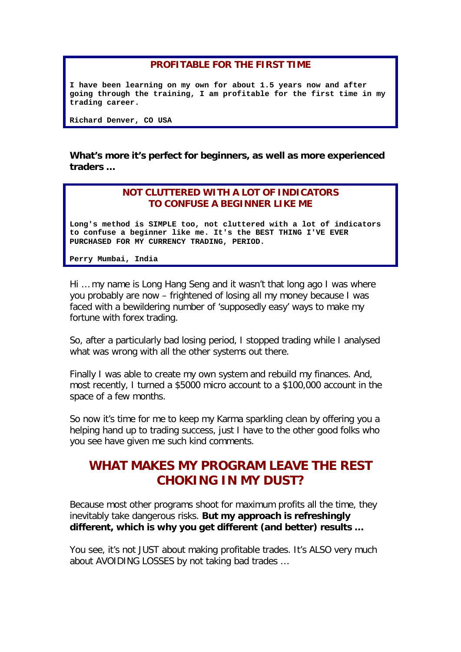### **PROFITABLE FOR THE FIRST TIME**

**I have been learning on my own for about 1.5 years now and after going through the training, I am profitable for the first time in my trading career.**

**Richard Denver, CO USA**

**What's more it's perfect for beginners, as well as more experienced traders …**

### **NOT CLUTTERED WITH A LOT OF INDICATORS TO CONFUSE A BEGINNER LIKE ME**

**Long's method is SIMPLE too, not cluttered with a lot of indicators to confuse a beginner like me. It's the BEST THING I'VE EVER PURCHASED FOR MY CURRENCY TRADING, PERIOD.**

**Perry Mumbai, India**

Hi … my name is Long Hang Seng and it wasn't that long ago I was where you probably are now – frightened of losing all my money because I was faced with a bewildering number of 'supposedly easy' ways to make my fortune with forex trading.

So, after a particularly bad losing period, I stopped trading while I analysed what was wrong with all the other systems out there.

Finally I was able to create my own system and rebuild my finances. And, most recently, I turned a \$5000 micro account to a \$100,000 account in the space of a few months.

So now it's time for me to keep my Karma sparkling clean by offering you a helping hand up to trading success, just I have to the other good folks who you see have given me such kind comments.

# **WHAT MAKES MY PROGRAM LEAVE THE REST CHOKING IN MY DUST?**

Because most other programs shoot for maximum profits all the time, they inevitably take dangerous risks. **But my approach is refreshingly different, which is why you get different (and better) results …**

You see, it's not JUST about making profitable trades. It's ALSO very much about AVOIDING LOSSES by not taking bad trades …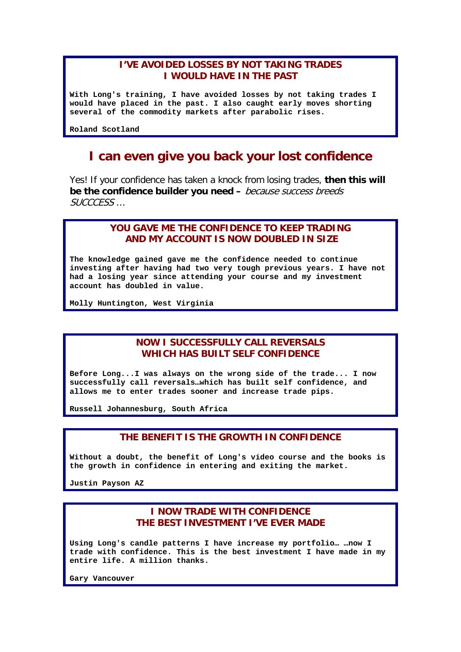### **I'VE AVOIDED LOSSES BY NOT TAKING TRADES I WOULD HAVE IN THE PAST**

**With Long's training, I have avoided losses by not taking trades I would have placed in the past. I also caught early moves shorting several of the commodity markets after parabolic rises.**

**Roland Scotland**

# **I can even give you back your lost confidence**

Yes! If your confidence has taken a knock from losing trades, **then this will be the confidence builder you need –** because success breeds SUCCCESS …

### **YOU GAVE ME THE CONFIDENCE TO KEEP TRADING AND MY ACCOUNT IS NOW DOUBLED IN SIZE**

**The knowledge gained gave me the confidence needed to continue investing after having had two very tough previous years. I have not had a losing year since attending your course and my investment account has doubled in value.**

**Molly Huntington, West Virginia**

### **NOW I SUCCESSFULLY CALL REVERSALS WHICH HAS BUILT SELF CONFIDENCE**

**Before Long...I was always on the wrong side of the trade... I now successfully call reversals…which has built self confidence, and allows me to enter trades sooner and increase trade pips.**

**Russell Johannesburg, South Africa**

#### **THE BENEFIT IS THE GROWTH IN CONFIDENCE**

**Without a doubt, the benefit of Long's video course and the books is the growth in confidence in entering and exiting the market.**

**Justin Payson AZ**

### **I NOW TRADE WITH CONFIDENCE THE BEST INVESTMENT I'VE EVER MADE**

**Using Long's candle patterns I have increase my portfolio… …now I trade with confidence. This is the best investment I have made in my entire life. A million thanks.**

**Gary Vancouver**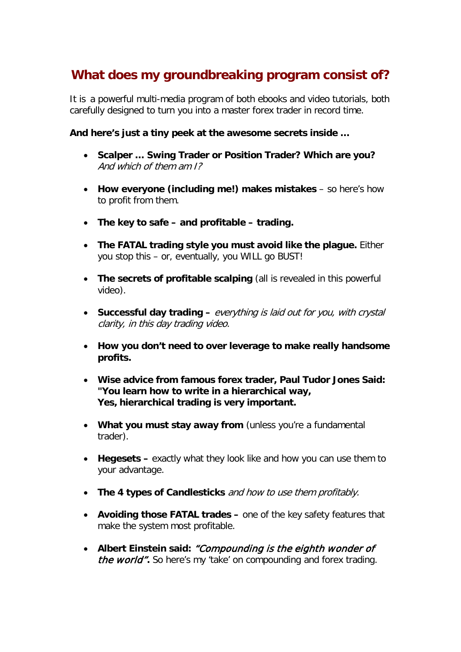# **What does my groundbreaking program consist of?**

It is a powerful multi-media program of both ebooks and video tutorials, both carefully designed to turn you into a master forex trader in record time.

**And here's just a tiny peek at the awesome secrets inside …**

- **Scalper … Swing Trader or Position Trader? Which are you?**  And which of them am I?
- **How everyone (including me!) makes mistakes** so here's how to profit from them.
- **The key to safe – and profitable – trading.**
- **The FATAL trading style you must avoid like the plague.** Either you stop this – or, eventually, you WILL go BUST!
- **The secrets of profitable scalping** (all is revealed in this powerful video).
- **Successful day trading –** everything is laid out for you, with crystal clarity, in this day trading video.
- **How you don't need to over leverage to make really handsome profits.**
- **Wise advice from famous forex trader, Paul Tudor Jones Said: "You learn how to write in a hierarchical way, Yes, hierarchical trading is very important.**
- **What you must stay away from** (unless you're a fundamental trader).
- **Hegesets –** exactly what they look like and how you can use them to your advantage.
- **The 4 types of Candlesticks** and how to use them profitably.
- **Avoiding those FATAL trades –** one of the key safety features that make the system most profitable.
- **Albert Einstein said:** "Compounding is the eighth wonder of the world"**.** So here's my 'take' on compounding and forex trading.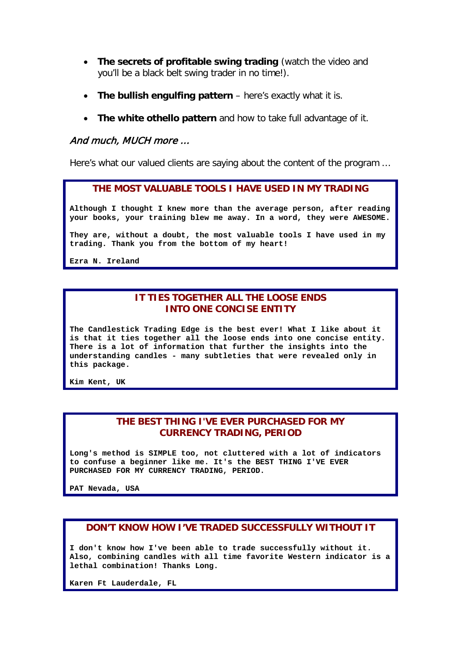- **The secrets of profitable swing trading** (watch the video and you'll be a black belt swing trader in no time!).
- **The bullish engulfing pattern** here's exactly what it is.
- **The white othello pattern** and how to take full advantage of it.

### And much, MUCH more …

Here's what our valued clients are saying about the content of the program …

#### **THE MOST VALUABLE TOOLS I HAVE USED IN MY TRADING**

**Although I thought I knew more than the average person, after reading your books, your training blew me away. In a word, they were AWESOME.** 

**They are, without a doubt, the most valuable tools I have used in my trading. Thank you from the bottom of my heart!**

**Ezra N. Ireland**

### **IT TIES TOGETHER ALL THE LOOSE ENDS INTO ONE CONCISE ENTITY**

**The Candlestick Trading Edge is the best ever! What I like about it is that it ties together all the loose ends into one concise entity. There is a lot of information that further the insights into the understanding candles - many subtleties that were revealed only in this package.**

**Kim Kent, UK**

### **THE BEST THING I'VE EVER PURCHASED FOR MY CURRENCY TRADING, PERIOD**

**Long's method is SIMPLE too, not cluttered with a lot of indicators to confuse a beginner like me. It's the BEST THING I'VE EVER PURCHASED FOR MY CURRENCY TRADING, PERIOD.**

**PAT Nevada, USA**

### **DON'T KNOW HOW I'VE TRADED SUCCESSFULLY WITHOUT IT**

**I don't know how I've been able to trade successfully without it. Also, combining candles with all time favorite Western indicator is a lethal combination! Thanks Long.**

**Karen Ft Lauderdale, FL**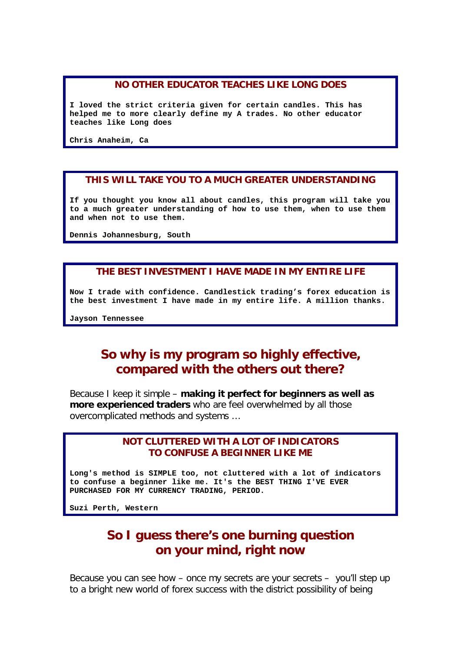### **NO OTHER EDUCATOR TEACHES LIKE LONG DOES**

**I loved the strict criteria given for certain candles. This has helped me to more clearly define my A trades. No other educator teaches like Long does**

**Chris Anaheim, Ca**

#### **THIS WILL TAKE YOU TO A MUCH GREATER UNDERSTANDING**

**If you thought you know all about candles, this program will take you to a much greater understanding of how to use them, when to use them and when not to use them.**

**Dennis Johannesburg, South**

#### **THE BEST INVESTMENT I HAVE MADE IN MY ENTIRE LIFE**

**Now I trade with confidence. Candlestick [trading'](http://trading.com/)s forex education is the best investment I have made in my entire life. A million thanks.**

**Jayson Tennessee**

# **So why is my program so highly effective, compared with the others out there?**

Because I keep it simple – **making it perfect for beginners as well as more experienced traders** who are feel overwhelmed by all those overcomplicated methods and systems …

### **NOT CLUTTERED WITH A LOT OF INDICATORS TO CONFUSE A BEGINNER LIKE ME**

**Long's method is SIMPLE too, not cluttered with a lot of indicators to confuse a beginner like me. It's the BEST THING I'VE EVER PURCHASED FOR MY CURRENCY TRADING, PERIOD.**

**Suzi Perth, Western**

# **So I guess there's one burning question on your mind, right now**

Because you can see how – once my secrets are your secrets – you'll step up to a bright new world of forex success with the district possibility of being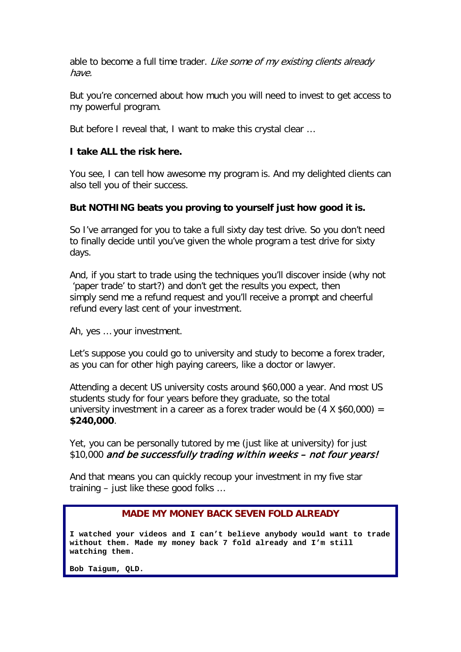able to become a full time trader. Like some of my existing clients already have.

But you're concerned about how much you will need to invest to get access to my powerful program.

But before I reveal that, I want to make this crystal clear …

### **I take ALL the risk here.**

You see, I can tell how awesome my program is. And my delighted clients can also tell you of their success.

### **But NOTHING beats you proving to yourself just how good it is.**

So I've arranged for you to take a full sixty day test drive. So you don't need to finally decide until you've given the whole program a test drive for sixty days.

And, if you start to trade using the techniques you'll discover inside (why not 'paper trade' to start?) and don't get the results you expect, then simply send me a refund request and you'll receive a prompt and cheerful refund every last cent of your investment.

Ah, yes … your investment.

Let's suppose you could go to university and study to become a forex trader, as you can for other high paying careers, like a doctor or lawyer.

Attending a decent US university costs around \$60,000 a year. And most US students study for four years before they graduate, so the total university investment in a career as a forex trader would be  $(4 \times $60,000) =$ **\$240,000**.

Yet, you can be personally tutored by me (just like at university) for just \$10,000 and be successfully trading within weeks - not four years!

And that means you can quickly recoup your investment in my five star training – just like these good folks …

### **MADE MY MONEY BACK SEVEN FOLD ALREADY**

**I watched your videos and I can't believe anybody would want to trade without them. Made my money back 7 fold already and I'm still watching them.**

**Bob Taigum, QLD.**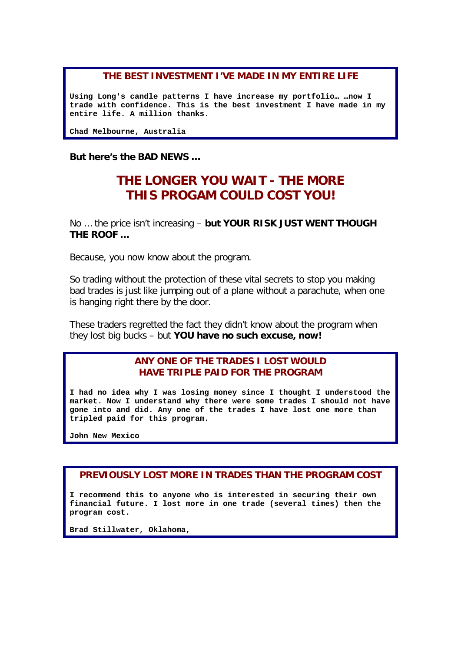### **THE BEST INVESTMENT I'VE MADE IN MY ENTIRE LIFE**

**Using Long's candle patterns I have increase my portfolio… …now I trade with confidence. This is the best investment I have made in my entire life. A million thanks.**

**Chad Melbourne, Australia**

**But here's the BAD NEWS …** 

# **THE LONGER YOU WAIT - THE MORE THIS PROGAM COULD COST YOU!**

No … the price isn't increasing – **but YOUR RISK JUST WENT THOUGH THE ROOF …**

Because, you now know about the program.

So trading without the protection of these vital secrets to stop you making bad trades is just like jumping out of a plane without a parachute, when one is hanging right there by the door.

These traders regretted the fact they didn't know about the program when they lost big bucks – but **YOU have no such excuse, now!**

> **ANY ONE OF THE TRADES I LOST WOULD HAVE TRIPLE PAID FOR THE PROGRAM**

**I had no idea why I was losing money since I thought I understood the market. Now I understand why there were some trades I should not have gone into and did. Any one of the trades I have lost one more than tripled paid for this program.**

**John New Mexico**

### **PREVIOUSLY LOST MORE IN TRADES THAN THE PROGRAM COST**

**I recommend this to anyone who is interested in securing their own financial future. I lost more in one trade (several times) then the program cost.**

**Brad Stillwater, Oklahoma,**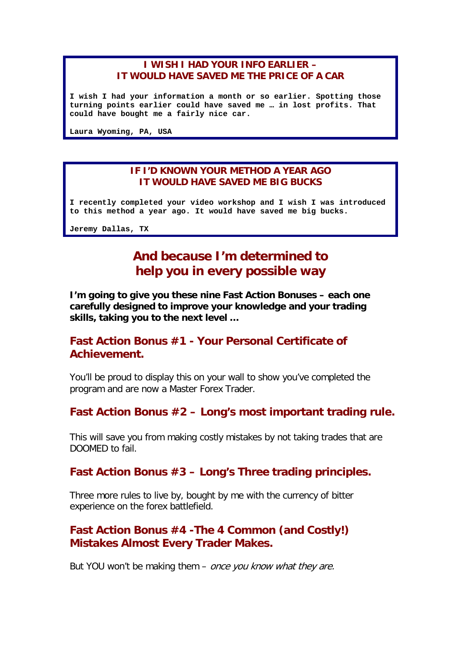### **I WISH I HAD YOUR INFO EARLIER – IT WOULD HAVE SAVED ME THE PRICE OF A CAR**

**I wish I had your information a month or so earlier. Spotting those turning points earlier could have saved me … in lost profits. That could have bought me a fairly nice car.**

**Laura Wyoming, PA, USA**

### **IF I'D KNOWN YOUR METHOD A YEAR AGO IT WOULD HAVE SAVED ME BIG BUCKS**

**I recently completed your video workshop and I wish I was introduced to this method a year ago. It would have saved me big bucks.**

**Jeremy Dallas, TX**

# **And because I'm determined to help you in every possible way**

**I'm going to give you these nine Fast Action Bonuses – each one carefully designed to improve your knowledge and your trading skills, taking you to the next level …**

### **Fast Action Bonus #1 - Your Personal Certificate of Achievement.**

You'll be proud to display this on your wall to show you've completed the program and are now a Master Forex Trader.

### **Fast Action Bonus #2 – Long's most important trading rule.**

This will save you from making costly mistakes by not taking trades that are DOOMED to fail.

### **Fast Action Bonus #3 – Long's Three trading principles.**

Three more rules to live by, bought by me with the currency of bitter experience on the forex battlefield.

### **Fast Action Bonus #4 -The 4 Common (and Costly!) Mistakes Almost Every Trader Makes.**

But YOU won't be making them - once you know what they are.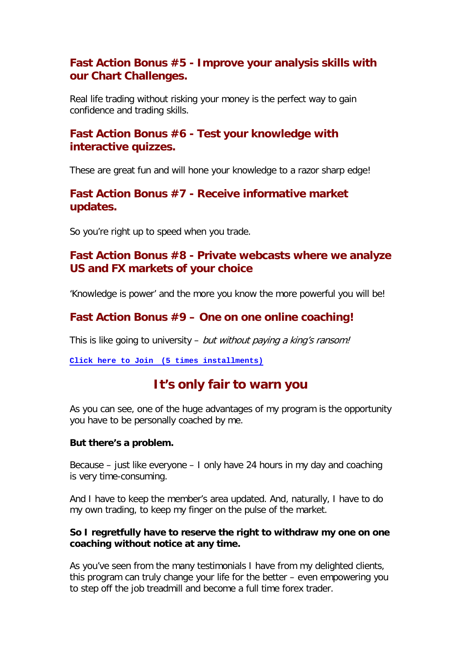### **Fast Action Bonus #5 - Improve your analysis skills with our Chart Challenges.**

Real life trading without risking your money is the perfect way to gain confidence and trading skills.

## **Fast Action Bonus #6 - Test your knowledge with interactive quizzes.**

These are great fun and will hone your knowledge to a razor sharp edge!

### **Fast Action Bonus #7 - Receive informative market updates.**

So you're right up to speed when you trade.

### **Fast Action Bonus #8 - Private webcasts where we analyze US and FX markets of your choice**

'Knowledge is power' and the more you know the more powerful you will be!

## **Fast Action Bonus #9 – One on one online coaching!**

This is like going to university – but without paying a king's ransom!

**Click here to Join [\(5 times installments\)](https://www.paypal.com/cgi-bin/webscr?cmd=_s-xclick&hosted_button_id=FUBNAFDW65RSG)**

# **It's only fair to warn you**

As you can see, one of the huge advantages of my program is the opportunity you have to be personally coached by me.

### **But there's a problem.**

Because – just like everyone – I only have 24 hours in my day and coaching is very time-consuming.

And I have to keep the member's area updated. And, naturally, I have to do my own trading, to keep my finger on the pulse of the market.

### **So I regretfully have to reserve the right to withdraw my one on one coaching without notice at any time.**

As you've seen from the many testimonials I have from my delighted clients, this program can truly change your life for the better – even empowering you to step off the job treadmill and become a full time forex trader.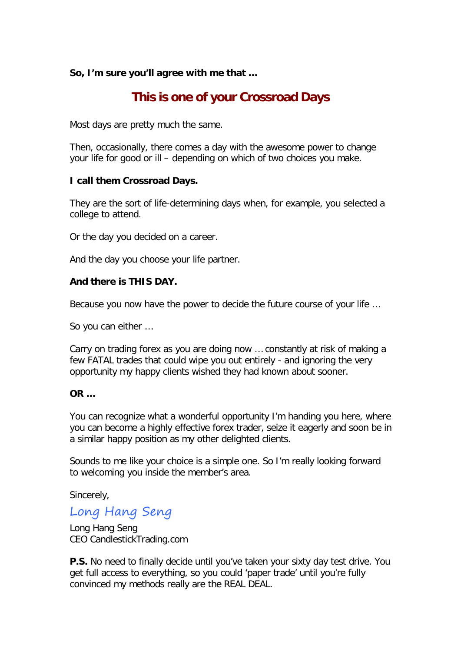### **So, I'm sure you'll agree with me that …**

# **This is one of your Crossroad Days**

Most days are pretty much the same.

Then, occasionally, there comes a day with the awesome power to change your life for good or ill – depending on which of two choices you make.

### **I call them Crossroad Days.**

They are the sort of life-determining days when, for example, you selected a college to attend.

Or the day you decided on a career.

And the day you choose your life partner.

### **And there is THIS DAY.**

Because you now have the power to decide the future course of your life …

So you can either …

Carry on trading forex as you are doing now … constantly at risk of making a few FATAL trades that could wipe you out entirely - and ignoring the very opportunity my happy clients wished they had known about sooner.

### **OR …**

You can recognize what a wonderful opportunity I'm handing you here, where you can become a highly effective forex trader, seize it eagerly and soon be in a similar happy position as my other delighted clients.

Sounds to me like your choice is a simple one. So I'm really looking forward to welcoming you inside the member's area.

Sincerely,

## Long Hang Seng

Long Hang Seng CEO CandlestickTrading.com

**P.S.** No need to finally decide until you've taken your sixty day test drive. You get full access to everything, so you could 'paper trade' until you're fully convinced my methods really are the REAL DEAL.